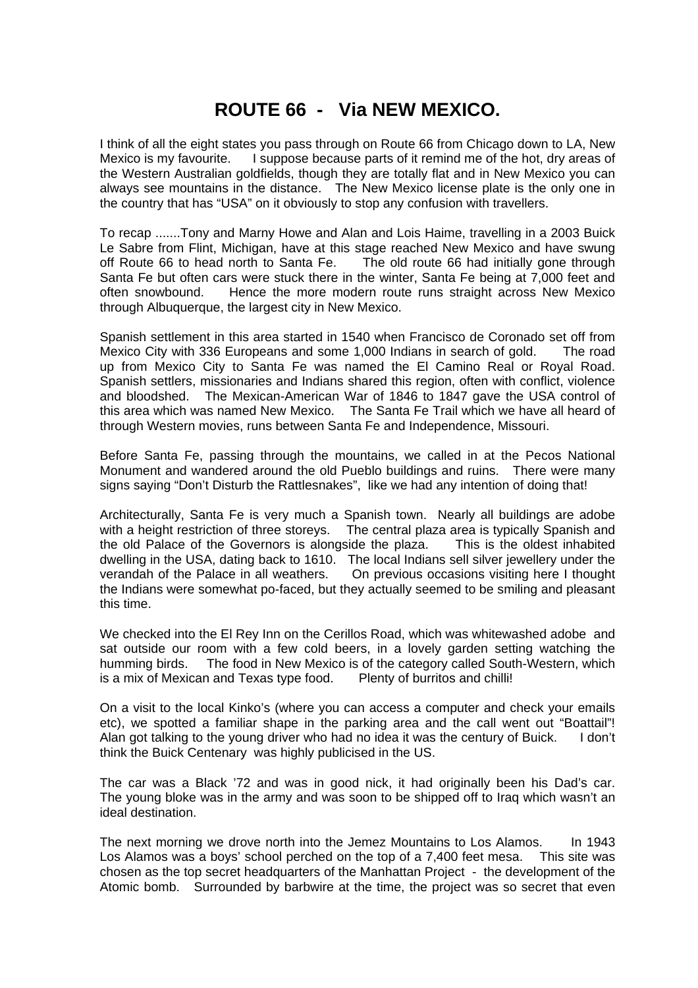## **ROUTE 66 - Via NEW MEXICO.**

I think of all the eight states you pass through on Route 66 from Chicago down to LA, New Mexico is my favourite. I suppose because parts of it remind me of the hot, dry areas of the Western Australian goldfields, though they are totally flat and in New Mexico you can always see mountains in the distance. The New Mexico license plate is the only one in the country that has "USA" on it obviously to stop any confusion with travellers.

To recap .......Tony and Marny Howe and Alan and Lois Haime, travelling in a 2003 Buick Le Sabre from Flint, Michigan, have at this stage reached New Mexico and have swung off Route 66 to head north to Santa Fe. The old route 66 had initially gone through Santa Fe but often cars were stuck there in the winter, Santa Fe being at 7,000 feet and often snowbound. Hence the more modern route runs straight across New Mexico through Albuquerque, the largest city in New Mexico.

Spanish settlement in this area started in 1540 when Francisco de Coronado set off from Mexico City with 336 Europeans and some 1,000 Indians in search of gold. The road up from Mexico City to Santa Fe was named the El Camino Real or Royal Road. Spanish settlers, missionaries and Indians shared this region, often with conflict, violence and bloodshed. The Mexican-American War of 1846 to 1847 gave the USA control of this area which was named New Mexico. The Santa Fe Trail which we have all heard of through Western movies, runs between Santa Fe and Independence, Missouri.

Before Santa Fe, passing through the mountains, we called in at the Pecos National Monument and wandered around the old Pueblo buildings and ruins. There were many signs saying "Don't Disturb the Rattlesnakes", like we had any intention of doing that!

Architecturally, Santa Fe is very much a Spanish town. Nearly all buildings are adobe with a height restriction of three storeys. The central plaza area is typically Spanish and the old Palace of the Governors is alongside the plaza. This is the oldest inhabited dwelling in the USA, dating back to 1610. The local Indians sell silver jewellery under the verandah of the Palace in all weathers. On previous occasions visiting here I thought the Indians were somewhat po-faced, but they actually seemed to be smiling and pleasant this time.

We checked into the El Rey Inn on the Cerillos Road, which was whitewashed adobe and sat outside our room with a few cold beers, in a lovely garden setting watching the humming birds. The food in New Mexico is of the category called South-Western, which is a mix of Mexican and Texas type food. Plenty of burritos and chilli!

On a visit to the local Kinko's (where you can access a computer and check your emails etc), we spotted a familiar shape in the parking area and the call went out "Boattail"! Alan got talking to the young driver who had no idea it was the century of Buick. I don't think the Buick Centenary was highly publicised in the US.

The car was a Black '72 and was in good nick, it had originally been his Dad's car. The young bloke was in the army and was soon to be shipped off to Iraq which wasn't an ideal destination.

The next morning we drove north into the Jemez Mountains to Los Alamos. In 1943 Los Alamos was a boys' school perched on the top of a 7,400 feet mesa. This site was chosen as the top secret headquarters of the Manhattan Project - the development of the Atomic bomb. Surrounded by barbwire at the time, the project was so secret that even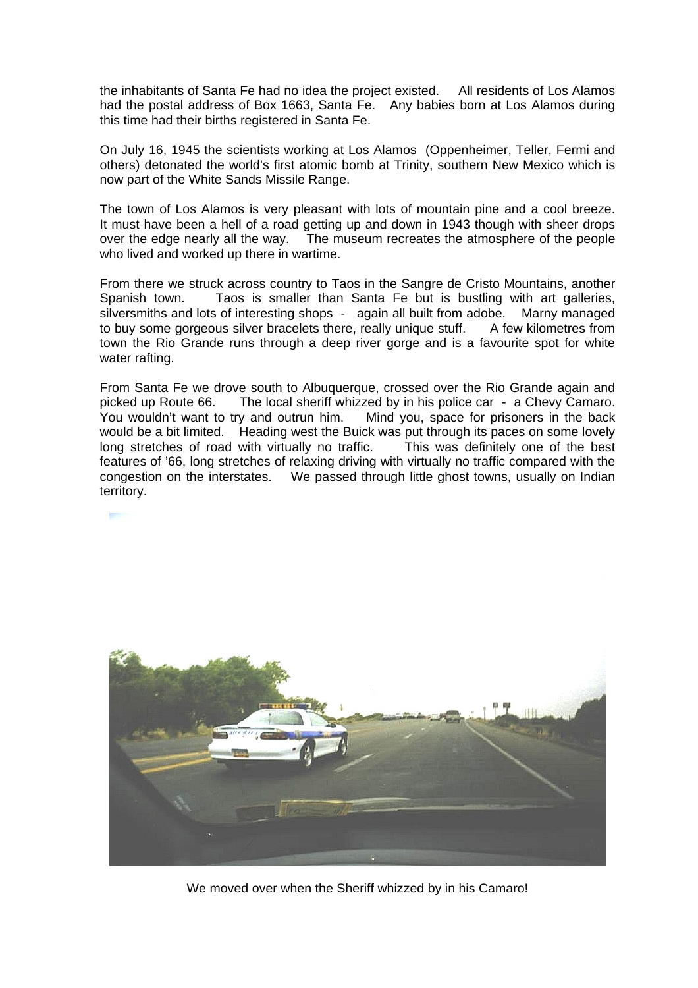the inhabitants of Santa Fe had no idea the project existed. All residents of Los Alamos had the postal address of Box 1663, Santa Fe. Any babies born at Los Alamos during this time had their births registered in Santa Fe.

On July 16, 1945 the scientists working at Los Alamos (Oppenheimer, Teller, Fermi and others) detonated the world's first atomic bomb at Trinity, southern New Mexico which is now part of the White Sands Missile Range.

The town of Los Alamos is very pleasant with lots of mountain pine and a cool breeze. It must have been a hell of a road getting up and down in 1943 though with sheer drops over the edge nearly all the way. The museum recreates the atmosphere of the people who lived and worked up there in wartime.

From there we struck across country to Taos in the Sangre de Cristo Mountains, another Spanish town. Taos is smaller than Santa Fe but is bustling with art galleries, silversmiths and lots of interesting shops - again all built from adobe. Marny managed to buy some gorgeous silver bracelets there, really unique stuff. A few kilometres from town the Rio Grande runs through a deep river gorge and is a favourite spot for white water rafting.

From Santa Fe we drove south to Albuquerque, crossed over the Rio Grande again and picked up Route 66. The local sheriff whizzed by in his police car - a Chevy Camaro. You wouldn't want to try and outrun him. Mind you, space for prisoners in the back would be a bit limited. Heading west the Buick was put through its paces on some lovely long stretches of road with virtually no traffic. This was definitely one of the best features of '66, long stretches of relaxing driving with virtually no traffic compared with the congestion on the interstates. We passed through little ghost towns, usually on Indian territory.



We moved over when the Sheriff whizzed by in his Camaro!